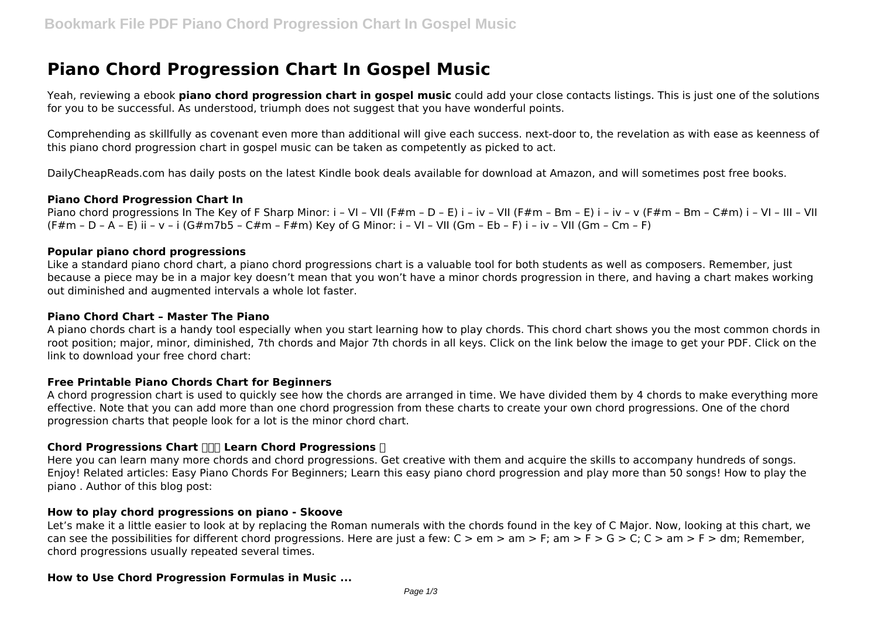# **Piano Chord Progression Chart In Gospel Music**

Yeah, reviewing a ebook **piano chord progression chart in gospel music** could add your close contacts listings. This is just one of the solutions for you to be successful. As understood, triumph does not suggest that you have wonderful points.

Comprehending as skillfully as covenant even more than additional will give each success. next-door to, the revelation as with ease as keenness of this piano chord progression chart in gospel music can be taken as competently as picked to act.

DailyCheapReads.com has daily posts on the latest Kindle book deals available for download at Amazon, and will sometimes post free books.

## **Piano Chord Progression Chart In**

Piano chord progressions In The Key of F Sharp Minor: i – VI – VII (F#m – D – E) i – iv – VII (F#m – Bm – V i – iv – v (F#m – Bm – C#m) i – VI – III – VII (F#m – D – A – E) ii – v – i (G#m7b5 – C#m – F#m) Key of G Minor: i – VI – VII (Gm – Eb – F) i – iv – VII (Gm – Cm – F)

## **Popular piano chord progressions**

Like a standard piano chord chart, a piano chord progressions chart is a valuable tool for both students as well as composers. Remember, just because a piece may be in a major key doesn't mean that you won't have a minor chords progression in there, and having a chart makes working out diminished and augmented intervals a whole lot faster.

#### **Piano Chord Chart – Master The Piano**

A piano chords chart is a handy tool especially when you start learning how to play chords. This chord chart shows you the most common chords in root position; major, minor, diminished, 7th chords and Major 7th chords in all keys. Click on the link below the image to get your PDF. Click on the link to download your free chord chart:

#### **Free Printable Piano Chords Chart for Beginners**

A chord progression chart is used to quickly see how the chords are arranged in time. We have divided them by 4 chords to make everything more effective. Note that you can add more than one chord progression from these charts to create your own chord progressions. One of the chord progression charts that people look for a lot is the minor chord chart.

#### **Chord Progressions Chart**  $\Pi\Pi$  **Learn Chord Progressions**  $\Pi$

Here you can learn many more chords and chord progressions. Get creative with them and acquire the skills to accompany hundreds of songs. Enjoy! Related articles: Easy Piano Chords For Beginners; Learn this easy piano chord progression and play more than 50 songs! How to play the piano . Author of this blog post:

#### **How to play chord progressions on piano - Skoove**

Let's make it a little easier to look at by replacing the Roman numerals with the chords found in the key of C Major. Now, looking at this chart, we can see the possibilities for different chord progressions. Here are just a few:  $C > em > am > F$ ; am  $> F > G > C$ ;  $C > am > F > dm$ ; Remember, chord progressions usually repeated several times.

#### **How to Use Chord Progression Formulas in Music ...**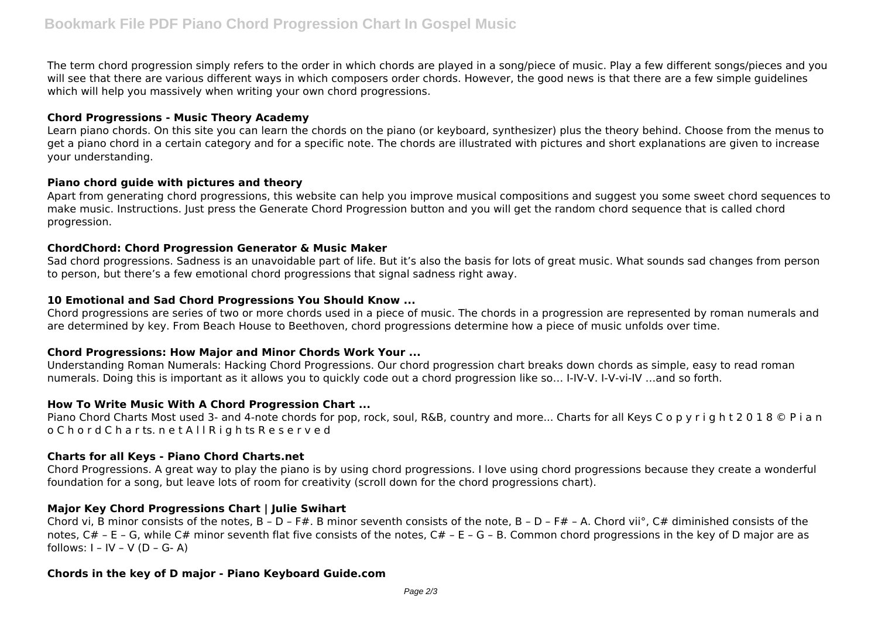The term chord progression simply refers to the order in which chords are played in a song/piece of music. Play a few different songs/pieces and you will see that there are various different ways in which composers order chords. However, the good news is that there are a few simple guidelines which will help you massively when writing your own chord progressions.

### **Chord Progressions - Music Theory Academy**

Learn piano chords. On this site you can learn the chords on the piano (or keyboard, synthesizer) plus the theory behind. Choose from the menus to get a piano chord in a certain category and for a specific note. The chords are illustrated with pictures and short explanations are given to increase your understanding.

# **Piano chord guide with pictures and theory**

Apart from generating chord progressions, this website can help you improve musical compositions and suggest you some sweet chord sequences to make music. Instructions. Just press the Generate Chord Progression button and you will get the random chord sequence that is called chord progression.

## **ChordChord: Chord Progression Generator & Music Maker**

Sad chord progressions. Sadness is an unavoidable part of life. But it's also the basis for lots of great music. What sounds sad changes from person to person, but there's a few emotional chord progressions that signal sadness right away.

## **10 Emotional and Sad Chord Progressions You Should Know ...**

Chord progressions are series of two or more chords used in a piece of music. The chords in a progression are represented by roman numerals and are determined by key. From Beach House to Beethoven, chord progressions determine how a piece of music unfolds over time.

# **Chord Progressions: How Major and Minor Chords Work Your ...**

Understanding Roman Numerals: Hacking Chord Progressions. Our chord progression chart breaks down chords as simple, easy to read roman numerals. Doing this is important as it allows you to quickly code out a chord progression like so… I-IV-V. I-V-vi-IV …and so forth.

# **How To Write Music With A Chord Progression Chart ...**

Piano Chord Charts Most used 3- and 4-note chords for pop, rock, soul, R&B, country and more... Charts for all Keys C o p y r i g h t 2 0 1 8 © P i a n o C h o r d C h a r ts. n e t A l l R i g h ts R e s e r v e d

# **Charts for all Keys - Piano Chord Charts.net**

Chord Progressions. A great way to play the piano is by using chord progressions. I love using chord progressions because they create a wonderful foundation for a song, but leave lots of room for creativity (scroll down for the chord progressions chart).

# **Major Key Chord Progressions Chart | Julie Swihart**

Chord vi, B minor consists of the notes, B - D - F#. B minor seventh consists of the note, B - D - F# - A. Chord vii°, C# diminished consists of the notes, C# - E - G, while C# minor seventh flat five consists of the notes, C# - E - G - B. Common chord progressions in the key of D major are as follows:  $I - IV - V (D - G - A)$ 

# **Chords in the key of D major - Piano Keyboard Guide.com**